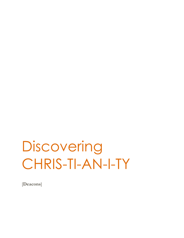# **Discovering** CHRIS-TI-AN-I-TY

[**Deacons**]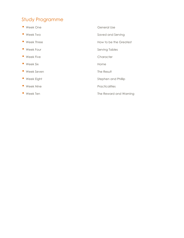## Study Programme

- 
- 
- 
- 
- 
- Week Six **Home**
- Week Seven The Result
- 
- 
- 
- Week One General Use • Week Two **Saved and Serving Saved and Serving** • Week Three How to be the Greatest • Week Four **Serving Tables** Serving Tables • Week Five **Character** • Week Eight Stephen and Phillip • Week Nine **Practicalities** • Week Ten  $\bullet$  Week Ten  $\bullet$  The Reward and Warning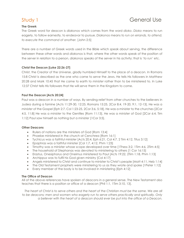# Study 1 General Use

### **The Greek**

The Greek word for deacon is *diakonos* which comes from the word *dioko*. *Dioko* means to run eagerly, to follow earnestly, to endeavor to pursue. *Diakonos* means *to run on errands, to attend, to execute the command of another.* [John 2:5]

There are a number of Greek words used in the Bible which speak about serving, the difference between these other words and *diakonos* is that, where the other words speak of the position of the server in relation to a person, *diakonos* speaks of the server in his activity; that is '*to run'* etc.

### **Christ the Deacon [Luke 22:26-27]**

Christ, the Creator of the Universe, gladly humbled Himself to the place of a deacon. In Romans 15:8 Christ is described as the one who came to *serve* the Jews. He tells His followers in Matthew 20:28 and Mark 10:45 that He came to earth to *minister* rather than to be ministered to. In Luke 12:37 Christ tells His followers that He will *serve* them in the Kingdom to come.

### **Paul the Deacon [Acts 20:24]**

Paul was a deacon in a number of ways. By sending *relief* from other churches to the believers in Judea during a famine [Acts 11:29-30, 12:25, Romans 15:25, 2Cor 8:4, 19-20, 9:1, 12-13]. He was a *minister* of the Gospel [Eph 2:7, Col 1:23-25, 2Cor 3:6, 5:18]. He was a *minister* to the churches [2Cor 4:5, 11:8] He was a *minister* to the Gentiles [Rom 11:13]. He was a *minister* of God [2Cor 6:4, Tim 1:12] Paul saw himself as nothing but a *minister* [1Cor 3:5].

### **Other Deacons**

- Rulers of nations are the ministers of God [Rom 13:4]
- Phoebe ministered in the church at Cenchrea [Rom 16:1]
- Tychicus was a faithful minister [Acts 20:4, Eph 6:21, Col 4:7, 2 Tim 4:12, Titus 3:12]
- Epaphras was a faithful minister [Col 1:7, 4:12, Phm 1:23]
- Timothy was a minister whose scope developed over time [1Thess 3:2, 1Tim 4:6, 2Tim 4:5]
- The household of Stephanas was devoted to ministering to others [1 Cor 16:15]
- Erastus, Onesiphorus and Oneimus ministered to Paul [Acts 19:22, 2Tim 1:18, Phm 1:13]
- Archippus was to fulfil his God given ministry [Col 4:17]
- Angels ministered to Christ and continue to minister to Christ's people [Matt 4:11, Heb 1:14]
- The Old Testament prophets were ministering to us as they wrote and spoke [1Peter 1:12]
- Every member of the body is to be involved in ministering [Eph 4:12]

### **The Office of Deacon**

All of the above references have spoken of deacons in a general sense. The New Testament also teaches that there is a position or office of a deacon [Phil 1:1, 1Tim 3:10, 13].

*The heart of Christ is to serve others and the heart of the Christian must be the same. We are all*  to be deacons; men and women who eagerly run to serve others practically and spiritually. Only *a believer with the heart of a deacon should ever be put into the office of a Deacon.*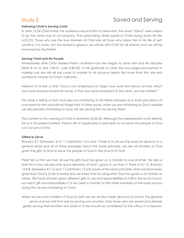# Study 2 Saved and Serving

### **Following Christ is Serving Christ**

In John 12:26 Christ invites the audience around Him to follow Him. The word "follow" here means to go the same way or accompany. The surrounding verses speak of Christ laying down His life. [v23-27]. Those who are the true ministers of Christ are all those who follow Him in His life of selfsacrifice. It is costly, but the reward is glorious; we will be with Christ for all eternity and we will be honoured by the Father.

### **Serving Christ and His People**

Immediately after Christ healed Peter's mother-in-law she began to *serve* Him and His disciples [Matt 8:14-15, Mar 1:30-31, Luke 4:38-39]. In her gratitude to Christ she was eager and earnest in making sure she did all she could to *minister* to His physical needs. But more than this, she also wanted to *ministe*r to Christ's followers.

Hebrews 6:10 tells us that "God is not unrighteous to forget your work and labour of love, which you have showed toward his name, in that you have *ministered* to the saints, and do *minister*."

This verse is telling us that God sees our *ministering* to His fellow followers as a work and labour of love done for Him and will not forget that. In other words, when we are *ministering* to God's people, we are primarily *ministering* to God; we are serving Him by serving them.

This is similar to the warning of Christ in Matthew 25:42-45. Although the interpretation is not directly for us in this present period, there is still an application in principle; to not *serve* the people of God is to not *serve* Christ.

### **Gifted to Serve**

Romans 4:7, Ephesians 4:12, 1 Corinthians 12:5 and 1 Peter 4:10 all use the word for *deacon* in a general sense and all of these passages teach the same principle; we are all *ministers* of God given the gifts of God to serve the people of God in the church of God

Peter tell us that we must all use the gifts God has given us to *minister* to one another. He tells us that this is how we become good stewards of God's grace in our lives [1 Peter 4:10-11]. Romans 12:4-8, Ephesians 4:7-16 and 1 Corinthians 12 [v5] speak of the same principle; what we have been given from God is to be invested and we invest that by using what God has given us to *minister* to others. We have all been given different gifts to use and responsibilities to fulfil in the local church, but each gift and responsibility is to be used to *minister* to the other members of the body and by doing this we are *ministering* to Christ.

When we become children of God by faith we are all also made deacons of God in the general *sense and we fulfil that role by serving one another. Only those who are saved and already gladly serving their brothers and sisters in Christ should be considered for the office of a Deacon.*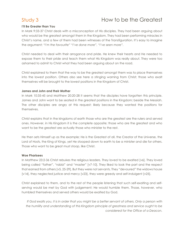# Study 3 How to be the Greatest

#### **I'll Be Greater than You**

In Mark 9:33-37 Christ deals with a misconception of His disciples. They had been arguing about who would be the greatest amongst them in the Kingdom. They had been performing miracles in Christ's name, and a few of them had been witnesses of the Transfiguration. It's easy to imagine the argument; *"I'm the favourite" "I've done more", "I've seen more".*

Christ needed to deal with their arrogance and pride. He knew their hearts and He needed to expose them to their pride and teach them what His Kingdom was really about. They were too ashamed to admit to Christ what they had been arguing about on the road.

Christ explained to them that the way to be the greatest amongst them was to place themselves into the lowest position. Others also see here a stinging warning from Christ; those who exalt themselves will be brought to the lowest positions in the Kingdom of Christ.

#### **James and John and their Mother**

In Mark 10:35-45 and Matthew 20:20-28 it seems that the disciples have forgotten this principle. James and John want to be seated in the greatest positions in the Kingdom; beside the Messiah. The other disciples are angry at this request; likely because they wanted the positions for themselves.

Christ explains that in the kingdoms of earth those who are the greatest are the rulers and served ones. However, in His Kingdom it is the complete opposite; those who are the greatest and who want to be the greatest are actually those who minister to the rest.

He then sets Himself up as the example; He is the Greatest of all, the Creator of the Universe, the Lord of Hosts, the King of Kings, yet He stooped down to earth to be a minister and die for others. Those who want to be great must stoop, like Christ.

#### **Woe Pharisees**

In Matthew 23:2-36 Christ rebukes the religious leaders. They loved to be exalted [v6]. They loved being called "father", "rabbi" and "master" [v7-10]. They liked to look the part and the respect that earned from others [v5, 25-29]. But they were not servants. They "devoured" the widows house [v14], they neglected justice and mercy [v23], they were greedy and self-indulgent [v25].

Christ explained to them, and to the rest of the people listening that such self-exalting and selfserving would be met by God with judgement; He would humble them. Those, however, who humbled themselves and served others would be exalted by God.

*If God exalts you, it is in order that you might be a better servant of others. Only a person with the humility and understanding of this Kingdom principle of greatness and service ought to be considered for the Office of a Deacon.*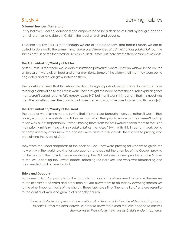### **Different Services, Same Lord**

Every believer is called, equipped and empowered to be a deacon of Christ by being a deacon to their brothers and sisters in Christ in the local church and beyond.

1 Corinthians 12:5 tells us that although we are all to be deacons, that doesn't mean we are all called to do exactly the same thing. *"there are differences of administrations [diakonia], but the same Lord"*. In Acts 6 the word for *Deacon* is used 3 times but there are 2 different "*adminstrations*".

### **The Administration/Ministry of Tables**

Acts 6:1 tells us that there was a daily ministration [*diakonia*] where Christian widows in the church at Jerusalem were given food and other provisions. Some of the widows felt that they were being neglected and tension grew between them.

The apostles realized that this whole situation, though important, was coming dangerously close to being a distraction to their main work. They brought the need before the church explaining that they weren't called to *serve [diakoneõ] tables* [v2] but that it was still important that this need was met. The apostles asked the church to choose men who would be able to attend to this work [v3].

#### **The Administration/Ministry of the Word**

The apostles were, by no means, saying that this work was beneath them, but rather, it wasn't their priority work, but it was starting to take over from what their priority work was. They weren't looking for an way out of responsibility. Rather, freeing them from this task would enable them to focus on their priority ministry; *"the ministry [diakonia] of the Word"* [v4]. With this important work being accomplished by other men, the apostles were able to fully devote themselves to praying and proclaiming the Word of God.

They were the under shepherds of the flock of God. They were praying for wisdom to guide this new entity in the world, praying for courage to stand against the enemies of the Gospel, praying for the needs of the church. They were studying the Old Testament anew, proclaiming the Gospel to the lost, debating the Jewish leaders, teaching the believers. The work was demanding and they needed a lot of time to do it.

#### **Elders and Deacons**

Many see in Acts 6 a principle for the local church today; the elders need to devote themselves to the ministry of the Word and other men of God allow them to do that by devoting themselves to the other important tasks of the church. These tasks are still to "the same Lord" and are essential to the continual work and growth of a healthy church.

*The essential role of a person in the position of a Deacon is to free the elders from important ministries within the local church, in order to allow these men the time needed to commit themselves to their priority ministries as Christ's under shepherds.*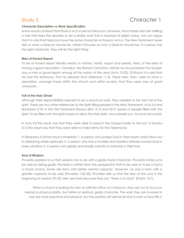# Study 5 Character 1

### **Character Description vs Work Specification**

Some would contend that those in Acts 6 are not Deacons. However, since these men are fulfilling a role that frees the apostles to do a similar work that is required of elders today, we can argue that it is vital that Deacons have the same character as those in Acts 6. The New Testament never tells us what a Deacon should do, rather it focuses on who a Deacon should be. If a person has the right character, they will do the right thing.

#### **Men of Honest Report**

To be of honest report literally means *to witness*, testify, *report* and speaks, here, of the idea of having a good reputation. Cornelius, the Roman Centurion, before he encountered the Gospel, was a man of *good report among all the nation of the Jews* [Acts 10:22]. Of Enoch it is said that *he had this testimony, that he pleased God* [Hebrews 11:5]. These men, then, were to have a reputation, amongst those within the church and within society, that they were men of good character.

#### **Full of the Holy Ghost**

Although their responsibilities seemed to be a practical work, they needed to be men full of the Spirit. There are two other references to the Spirit filling people in the New Testament; Acts 2:4 and Ephesians 5:18, in the Old Testament Exodus 28:3, 31:3 and 35:31 speak of people filled with the Spirit. To be filled with the Spirit means to allow the Holy Spirit, who indwells you, to have full control.

In Acts 2:4 the result was that they were able to preach the Gospel boldly to the lost. In Exodus 31:3 the result was that they were able to make items for the Tabernacle.

In Ephesians 5:18 the result is threefold: 1. A person who praises God in their hearts which flows out to refreshing others spiritually 2. A person who has a humble and thankful attitude toward God in every situation 3. A person who gladly and readily submits to authority in their lives

#### **And of Wisdom**

Proverbs explains to us that wisdom has to do with a godly moral character. Proverbs invites us to be wise by being godly. Proverbs is written from the perspective that to be wise or to be a fool is a moral choice. Some are born with better mental capacity. However, no one is born with a greater capacity to be wise [Proverbs 1:20-33]. Proverbs tells us that *the fear of the Lord is the beginning of wisdom* [9:10]. Men are fools because they say *"there is no God"* [Psalm 14:1].

*When a church is looking for men to fulfil the office of a Deacon, they are not to focus on mental or physical ability, but rather on spiritual, godly character. The work they are involved in may be more practical and physical, but the position still demands that a man of God fills it.*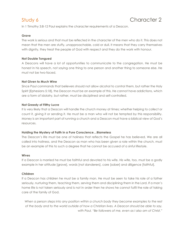In 1 Timothy 3:8-12 Paul explains the character requirements of a Deacon.

#### **Grave**

The work is serious and that must be reflected in the character of the men who do it. This does not mean that the men are stuffy, unapproachable, cold or dull. It means that they carry themselves with dignity, they treat the people of God with respect and they do the work with honour.

#### **Not Double Tongued**

A Deacons will have a lot of opportunities to communicate to the congregation. He must be honest in his speech, not saying one thing to one person and another thing to someone else. He must not be two-faced.

#### **Not Given to Much Wine**

Since Paul commands that believers should not allow alcohol to control them, but rather the Holy Spirit [Ephesians 5:18], the Deacon must be an example of this. He cannot have addictions, which are a form of idolatry, but rather, must be disciplined and self-controlled.

#### **Not Greedy of Filthy Lucre**

It is very likely that a Deacon will handle the church money at times; whether helping to collect or count it, giving it or sending it. He must be a man who will not be tempted by this responsibility. Money is an important part of running a church and a Deacon must have a biblical view of God's resources.

#### **Holding the Mystery of Faith in a Pure Conscience…Blameless**

The Deacon's life must be one of holiness that reflects the Gospel he has believed. We are all called into holiness, and the Deacon as man who has been given a role within the church, must be an example of this to such a degree that he cannot be accused of a sinful lifestyle.

#### **Wives**

If a Deacon is married he must be faithful and devoted to his wife. His wife, too, must be a godly example in her attitude [grave], words [not slanderers], care [sober] and diligence [faithful].

#### **Children**

If a Deacon has children he must be a family man. He must be seen to take his role of a father seriously, nurturing them, teaching them, serving them and disciplining them in the Lord. If a man's home life is not taken seriously and is not in order then he shows he cannot fulfil the role of taking care of the family of God.

When a person steps into any position within a church body they become examples to the rest *of the body and to the world outside of how a Christian lives. A Deacon should be able to say, with Paul, "Be followers of me, even as I also am of Christ."*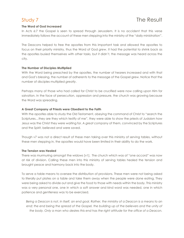### **The Word of God Increased**

In Acts 6:7 the Gospel is seen to spread through Jerusalem. It is no accident that this verse immediately follows the account of these men stepping into the ministry of the "daily ministration".

The Deacons helped to free the apostles from this important task and allowed the apostles to focus on their priority ministry, thus the Word of God *grew*. It had the potential to shrink back as the apostles busied themselves with other tasks, but it didn't, the message was heard across the city.

#### **The Number of Disciples Multiplied**

With the Word being preached by the apostles, the number of hearers increased and with that and God's blessing, the number of adherents to the message of the Gospel grew. Notice that the number of disciples multiplied *greatly*.

Perhaps many of those who had called for Christ to be crucified were now calling upon Him for salvation. In the face of persecution, oppression and pressure, the church was growing because the Word was spreading.

#### **A Great Company of Priests were Obedient to the Faith**

With the apostles able to study the Old Testament, obeying the command of Christ to "search the Scriptures…they are they which testify of me", they were able to show the priests of Judaism how Jesus was the Christ they were waiting for. A *great comp*any of them, convinced by the Scriptures and the Spirit, believed and were saved.

Though v7 was not a direct result of these men taking over this ministry of serving tables, without these men stepping in, the apostles would have been limited in their ability to do the work.

#### **The Tension was Healed**

There was murmuring amongst the widows [v1]. The church which was of "one accord" was now at risk of division. Calling these men into this ministry of serving tables healed the tension and brought peace and harmony back into the body.

To serve a table means to oversee the distribution of provisions. These men were not being asked to literally put plates on a table and take them away when the people were done eating. They were being asked to divide out and give the food to those with needs within the body. This ministry was a very personal one, one in which a soft answer and kind word was needed, one in which patience and gentleness was to be exercised.

*Being a Deacon is not, in itself, an end goal. Rather, the ministry of a Deacon is a means to an*  end; the end being the spread of the Gospel, the building up of the believers and the unity of *the body. Only a man who desires this end has the right attitude for the office of a Deacon.*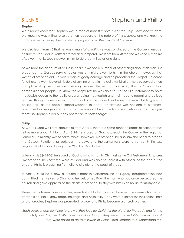# Study 8 Stephen and Phillip

### **Stephen**

We already know that Stephen was a man of *honest report*, *full of the Holy Ghost and wisdom*. We know he was willing to serve others because of the nature of *this business* and we know he had a desire to free up the apostles to *prayer and to the ministry of the Word*.

We also learn from v5 that he was a man *full of faith*. He was convinced of the Gospel message, he fully trusted God in matters eternal and temporal. We learn from v8 that he was also a man *full of power*, that is, God's power in him to do great miracles and signs.

As we read the account of his life in Acts 6-7 we see a number of other things about this man. He preached the Gospel; serving tables was a ministry given to him in the church, however, that wasn't all Stephen did. He was a man of godly courage and he preached the Gospel. He cared for others; he went beyond his duty of serving others in the daily ministration; he also served others through working miracles and healing people. He was a man who, like his Saviour, had compassion for people. He knew the Scriptures; he was able to use the Old Testament to point the Jewish leaders to the reality of Jesus being the Messiah and their need to repent and believe on Him. Though his ministry was a practical one, he studied and knew the Word. He forgave his persecutors; as the people stoned Stephen to death, his attitude was not one of bitterness, resentment or vengeance, but of forgiveness and love. Like his Saviour who cried out *"forgive them"* so Stephen cried out *"lay not this sin to their charge".*

#### **Phillip**

As well as what we know about him from Acts 6, there are some other passages of Scripture that tell us more about Phillip. In Acts 8:4-8 he is used of God to preach the Gospel in the region of Samaria. His ministry was to serve tables, however, like Stephen, he also saw the need to preach the Gospel. Relationships between the Jews and the Samaritans were tense, yet Phillip saw beyond all of this and brought the Word of God to them.

Later in Acts 8 [v26-38] he is used of God to bring a man to Christ using the Old Testament Scriptures. Like Stephen, he knew the Word of God and was able to share it with others. At the end of the chapter Phillip is preaching from city to city along the coast of Israel.

In Acts 21:8-10 he is now a church planter in Caesarea, he has godly daughters who had committed themselves to Christ and he welcomed Paul, the man who had once persecuted the church and gave approval to the death of Stephen, to stay with him in his house for *many days*.

These men, chosen to serve tables, were faithful to this ministry. However, they were also men of compassion, bible knowledge, courage and hospitality. They were exalted for their faithfulness and character; Stephen was promoted to glory and Phillip became a church planter.

*Each believer can continue to grow in their love for Christ, for the Word, for the body and for the lost. Phillip and Stephen both understood that, though they were to serve tables, this was not all they were called to do as followers of Christ. Each Deacon must understand this.*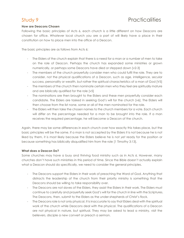# Study 9 **Practicalities**

### **How are Deacons Chosen**

Following the basic principles of Acts 6, each church is a little different on how Deacons are chosen for office. Whatever local church you are a part of will likely have a place in their constitution on how to place men into the office of a Deacon.

The basic principles are as follows from Acts 6;

- The Elders of the church explain that there is a need for a man or a number of men to take on the role of Deacon. Perhaps the church has expanded some ministries or grown numerically, or perhaps some Deacons have died or stepped down [v2-3]
- The members of the church prayerfully consider men who could fulfil the role. They are to consider, not the physical qualifications of a Deacon, such as age, intelligence, secular success, personality or wealth, but rather the spiritual characteristics of a man of God [V5]
- The members of the church then nominate certain men who they feel are spiritually mature and are biblically qualified for the role [v5]
- The nominations are then brought to the Elders and these men prayerfully consider each candidate. The Elders are tasked in seeking God's will for the church [v6]. The Elders will then choose from the list none, some or all of the men nominated for the role.
- The Elders will then take the chosen names to the church members for a vote. Each church will differ on the percentage needed for a man to be brought into the role. If a man receives the required percentage, he will become a Deacon of the church.

Again, there may be some differences in each church over how exactly this takes place, but the basic principles will be the same. If a man is not accepted by the Elders it is not because he is not liked by them, it is most likely because the Elders believe he is not *yet* ready for the position or because something has biblically disqualified him from the role [1 Timothy 3:13].

### **What does a Deacon Do?**

Some churches may have a busy and thriving food ministry such as in Acts 6. However, many churches don't have such ministries in this period of time. Since the Bible doesn't actually explain what a Deacon should do specifically, we need to consider the general principles.

- The Deacons support the Elders in their work of preaching the Word of God. Anything that distracts the leadership of the church from their priority ministry is something that the Deacons should be willing to take responsibility over.
- The Deacons are not slaves of the Elders, they assist the Elders in their work. The Elders must continue to carefully and prayerfully seek God's will for the church in line with the Scriptures. The Deacons, then, submit to the Elders as the under-shepherds of Christ's flock.
- The Deacons role is not only physical. It is inaccurate to say that Elders deal with the spiritual work of the church while Deacons deal with the physical. The qualifications of a Deacon are not physical in nature, but spiritual. They may be asked to lead a ministry, visit the believers, disciple a new convert or preach a sermon.